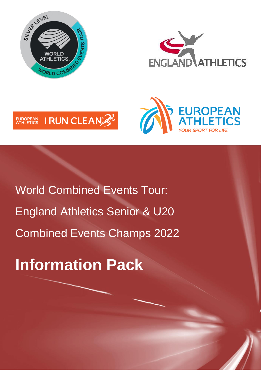







World Combined Events Tour: England Athletics Senior & U20 Combined Events Champs 2022

**Information Pack**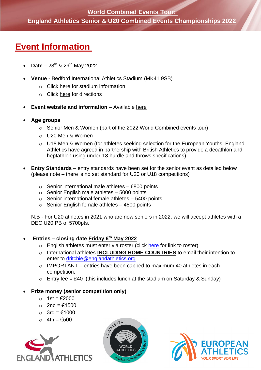## **Event Information**

- **Date** 28th & 29th May 2022
- **Venue** Bedford International Athletics Stadium (MK41 9SB)
	- o Click [here](https://www.fusion-lifestyle.com/centres/bedford-international-athletics-stadium/) for stadium information
	- o Click [here](https://goo.gl/maps/wr6zNicj7ZrFj3W46) for directions
- **Event website and information** Available [here](https://www.englandathletics.org/athletics-and-running/england-competitions/world-athletics-challenge-for-combined-events/)
- **Age groups**
	- o Senior Men & Women (part of the 2022 World Combined events tour)
	- o U20 Men & Women
	- o U18 Men & Women (for athletes seeking selection for the European Youths, England Athletics have agreed in partnership with British Athletics to provide a decathlon and heptathlon using under-18 hurdle and throws specifications)
- **Entry Standards** entry standards have been set for the senior event as detailed below (please note – there is no set standard for U20 or U18 competitions)
	- $\circ$  Senior international male athletes 6800 points
	- $\circ$  Senior English male athletes 5000 points
	- $\circ$  Senior international female athletes  $-5400$  points
	- $\circ$  Senior English female athletes  $-$  4500 points

N:B - For U20 athletes in 2021 who are now seniors in 2022, we will accept athletes with a DEC U20 PB of 5700pts.

#### • **Entries – closing date Friday 6th May 2022**

- o English athletes must enter via roster (click [here](https://meets.rosterathletics.com/public/competitions/details/about?id=4751) for link to roster)
- o International athletes **INCLUDING HOME COUNTRIES** to email their intention to enter to [dritchie@englandathletics.org](mailto:dritchie@englandathletics.org)
- $\circ$  IMPORTANT entries have been capped to maximum 40 athletes in each competition.
- $\circ$  Entry fee = £40 (this includes lunch at the stadium on Saturday & Sunday)

#### • **Prize money (senior competition only)**

- o 1st = €2000
- o 2nd = €1500
- o 3rd = €1000
- o 4th = €500





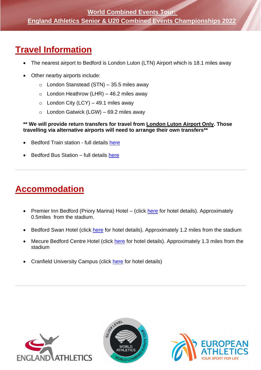### **World Combined Events Tour: England Athletics Senior & U20 Combined Events Championships 2022**

## **Travel Information**

- The nearest airport to Bedford is London Luton (LTN) Airport which is 18.1 miles away
- Other nearby airports include:
	- $\circ$  London Stanstead (STN) 35.5 miles away
	- $\circ$  London Heathrow (LHR) 46.2 miles away
	- $\circ$  London City (LCY) 49.1 miles away
	- $\circ$  London Gatwick (LGW) 69.2 miles away

#### **\*\* We will provide return transfers for travel from London Luton Airport Only. Those travelling via alternative airports will need to arrange their own transfers\*\***

 $\_$  , and the contribution of the contribution of the contribution of the contribution of the contribution of  $\mathcal{L}$ 

- Bedford Train station full details [here](https://www.google.com/maps/place/Bedford/@52.1359397,-0.4805832,16.49z/data=!4m5!3m4!1s0x0:0xd5c3ad71dd9b6e91!8m2!3d52.1362511!4d-0.4794362?hl=en)
- Bedford Bus Station full details [here](https://www.google.com/maps/place/Bedford+Bus+Station/@52.1359397,-0.4805832,16.49z/data=!4m12!1m6!3m5!1s0x0:0xd5c3ad71dd9b6e91!2sBedford!8m2!3d52.1362511!4d-0.4794362!3m4!1s0x0:0x15331715361a193f!8m2!3d52.1374928!4d-0.4710087?hl=en)

# **Accommodation**

- Premier Inn Bedford (Priory Marina) Hotel (click [here](https://www.premierinn.com/gb/en/hotels/england/bedfordshire/bedford/bedford-priory-marina.html?cid=KNC_Brn|_G_UK_UK_Eng_Enc_Brand-Destinations_LO_Bedfordshire_EX&mckv=sILHM4rU8_dc|pcrid|577731835855|kword|bedford%20premier%20inn|match|e|plid||pgrid|45371028859|ptaid|kwd-304559530701|&s_kwcid=AL!9693!3!577731835855!e!!g!!bedford%20premier%20inn!902402372!45371028859&ef_id=EAIaIQobChMIndH7iqmA9wIVh63tCh2SnQqcEAAYASAAEgK2B_D_BwE:G:s&gclid=EAIaIQobChMIndH7iqmA9wIVh63tCh2SnQqcEAAYASAAEgK2B_D_BwE) for hotel details). Approximately 0.5miles from the stadium.
- Bedford Swan Hotel (click [here](https://bedfordswanhotel.co.uk/) for hotel details). Approximately 1.2 miles from the stadium
- Mecure Bedford Centre Hotel (click [here](https://all.accor.com/hotel/B541/index.en.shtml?utm_term=mar&gclid=EAIaIQobChMI4N7fvayA9wIVGeDtCh3qVw8NEAAYASAAEgJYDPD_BwE&utm_campaign=ppc-mer-mar-goo-uk-en-dom_rest-mix-s&utm_medium=cpc&utm_content=uk-en-GB-v0359&utm_source=google) for hotel details). Approximately 1.3 miles from the stadium
- Cranfield University Campus (click [here](https://www.cranfield.ac.uk/study/life-on-campus/life-at-cranfield/accommodation) for hotel details)





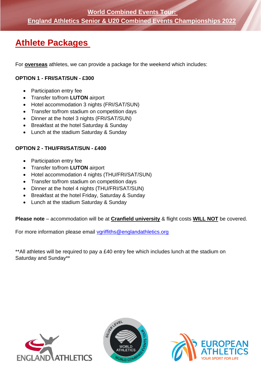## **Athlete Packages**

For **overseas** athletes, we can provide a package for the weekend which includes:

#### **OPTION 1 - FRI/SAT/SUN - £300**

- Participation entry fee
- Transfer to/from **LUTON** airport
- Hotel accommodation 3 nights (FRI/SAT/SUN)
- Transfer to/from stadium on competition days
- Dinner at the hotel 3 nights (FRI/SAT/SUN)
- Breakfast at the hotel Saturday & Sunday
- Lunch at the stadium Saturday & Sunday

#### **OPTION 2 - THU/FRI/SAT/SUN - £400**

- Participation entry fee
- Transfer to/from **LUTON** airport
- Hotel accommodation 4 nights (THU/FRI/SAT/SUN)
- Transfer to/from stadium on competition days
- Dinner at the hotel 4 nights (THU/FRI/SAT/SUN)
- Breakfast at the hotel Friday, Saturday & Sunday
- Lunch at the stadium Saturday & Sunday

#### **Please note** – accommodation will be at **Cranfield university** & flight costs **WILL NOT** be covered.

For more information please email [vgriffiths@englandathletics.org](mailto:vgriffiths@englandathletics.org)

\*\*All athletes will be required to pay a £40 entry fee which includes lunch at the stadium on Saturday and Sunday\*\*





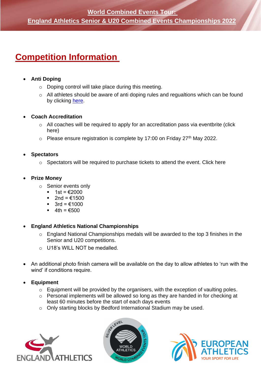## **Competition Information**

#### • **Anti Doping**

- o Doping control will take place during this meeting.
- o All athletes should be aware of anti doping rules and regualtions which can be found by clicking [here.](https://www.worldathletics.org/about-iaaf/documents/anti-doping)

#### • **Coach Accreditation**

- o All coaches will be required to apply for an accreditation pass via eventbrite (click here)
- $\circ$  Please ensure registration is complete by 17:00 on Friday 27<sup>th</sup> May 2022.

#### • **Spectators**

o Spectators will be required to purchase tickets to attend the event. Click here

#### • **Prize Money**

- o Senior events only
	- 1st =  $€2000$
	- 2nd =  $€1500$
	- 3rd =  $€1000$
	- $4th = €500$

• **England Athletics National Championships**

- o England National Championships medals will be awarded to the top 3 finishes in the Senior and U20 competitions.
- o U18's WILL NOT be medalled.
- An additional photo finish camera will be available on the day to allow athletes to 'run with the wind' if conditions require.
- **Equipment**
	- $\circ$  Equipment will be provided by the organisers, with the exception of vaulting poles.
	- o Personal implements will be allowed so long as they are handed in for checking at least 60 minutes before the start of each days events
	- o Only starting blocks by Bedford International Stadium may be used.





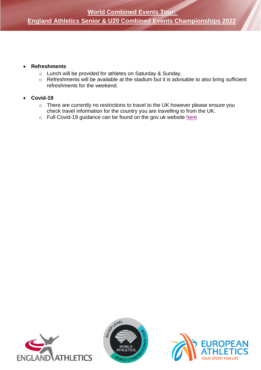### **England Athletics Senior & U20 Combined Events Championships 2022**

#### • **Refreshments**

- o Lunch will be provided for athletes on Saturday & Sunday.
- o Refreshments will be available at the stadium but it is advisable to also bring sufficient refreshments for the weekend.

#### • **Covid-19**

- o There are currently no restrictions to travel to the UK however please ensure you check travel information for the country you are travelling to from the UK.
- o Full Covid-19 guidance can be found on the gov.uk website [here](https://www.gov.uk/coronavirus)